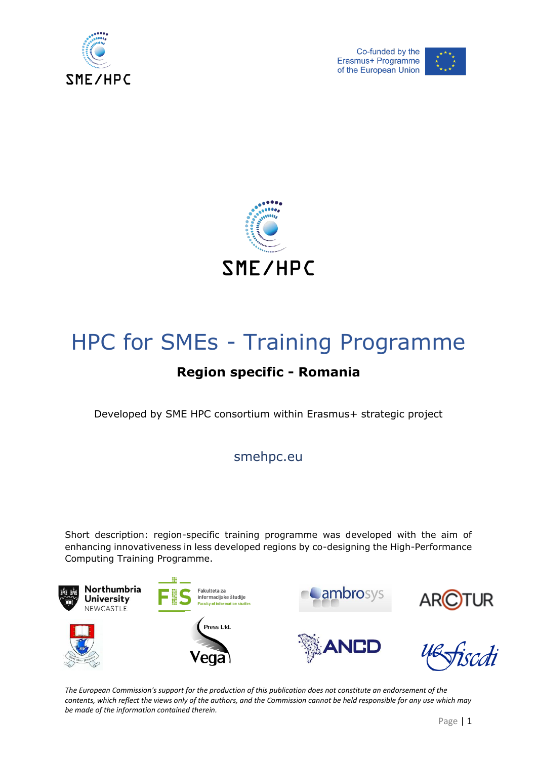





# HPC for SMEs - Training Programme

# **Region specific - Romania**

Developed by SME HPC consortium within Erasmus+ strategic project

smehpc.eu

Short description: region-specific training programme was developed with the aim of enhancing innovativeness in less developed regions by co-designing the High-Performance Computing Training Programme.



*The European Commission's support for the production of this publication does not constitute an endorsement of the contents, which reflect the views only of the authors, and the Commission cannot be held responsible for any use which may be made of the information contained therein.*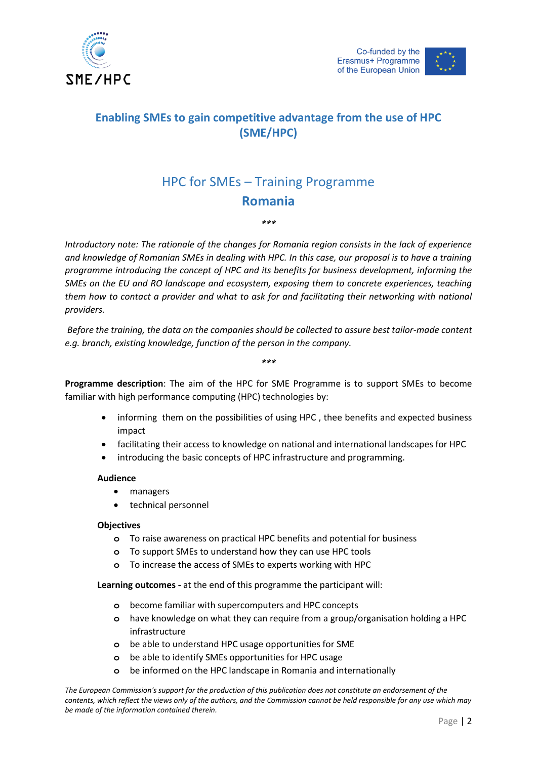

# **Enabling SMEs to gain competitive advantage from the use of HPC (SME/HPC)**

# HPC for SMEs – Training Programme **Romania**

*\*\*\**

*Introductory note: The rationale of the changes for Romania region consists in the lack of experience and knowledge of Romanian SMEs in dealing with HPC. In this case, our proposal is to have a training programme introducing the concept of HPC and its benefits for business development, informing the SMEs on the EU and RO landscape and ecosystem, exposing them to concrete experiences, teaching them how to contact a provider and what to ask for and facilitating their networking with national providers.* 

*Before the training, the data on the companies should be collected to assure best tailor-made content e.g. branch, existing knowledge, function of the person in the company.*

#### *\*\*\**

**Programme description**: The aim of the HPC for SME Programme is to support SMEs to become familiar with high performance computing (HPC) technologies by:

- informing them on the possibilities of using HPC , thee benefits and expected business impact
- facilitating their access to knowledge on national and international landscapes for HPC
- introducing the basic concepts of HPC infrastructure and programming.

## **Audience**

- managers
- technical personnel

## **Objectives**

- **o** To raise awareness on practical HPC benefits and potential for business
- **o** To support SMEs to understand how they can use HPC tools
- **o** To increase the access of SMEs to experts working with HPC

**Learning outcomes -** at the end of this programme the participant will:

- **o** become familiar with supercomputers and HPC concepts
- **o** have knowledge on what they can require from a group/organisation holding a HPC infrastructure
- **o** be able to understand HPC usage opportunities for SME
- **o** be able to identify SMEs opportunities for HPC usage
- **o** be informed on the HPC landscape in Romania and internationally

*The European Commission's support for the production of this publication does not constitute an endorsement of the contents, which reflect the views only of the authors, and the Commission cannot be held responsible for any use which may be made of the information contained therein.*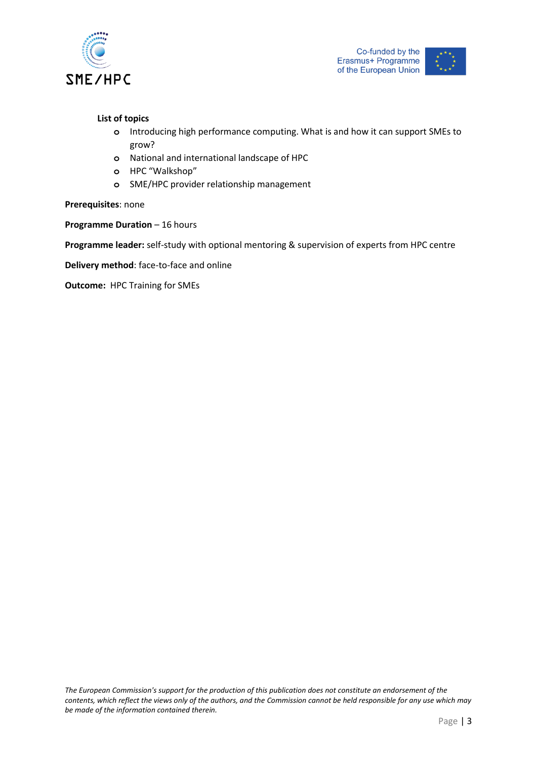

### **List of topics**

- **o** Introducing high performance computing. What is and how it can support SMEs to grow?
- **o** National and international landscape of HPC
- **o** HPC "Walkshop"
- **o** SME/HPC provider relationship management

### **Prerequisites**: none

**Programme Duration** – 16 hours

**Programme leader:** self-study with optional mentoring & supervision of experts from HPC centre

**Delivery method**: face-to-face and online

**Outcome:** HPC Training for SMEs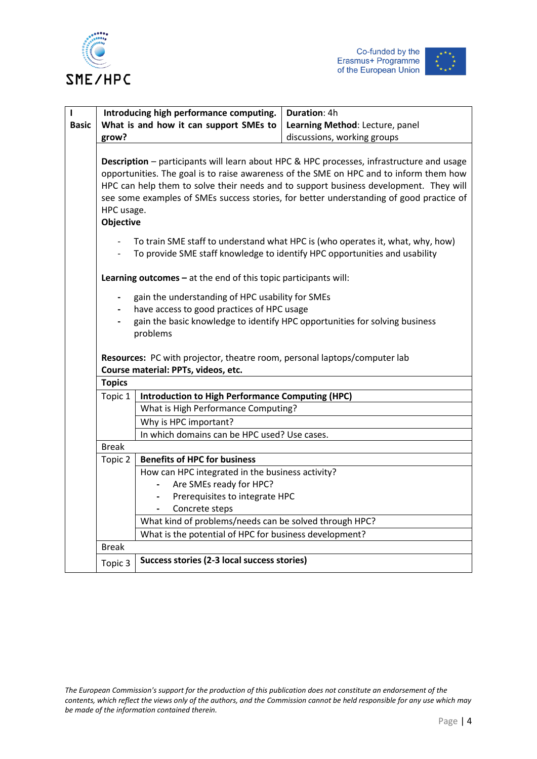



| п<br><b>Basic</b> | Introducing high performance computing.<br>What is and how it can support SMEs to<br>grow?                                                                                                                                                                                                                                                                                                                |                                                                                                                                                                                           | Duration: 4h<br>Learning Method: Lecture, panel<br>discussions, working groups |  |  |  |
|-------------------|-----------------------------------------------------------------------------------------------------------------------------------------------------------------------------------------------------------------------------------------------------------------------------------------------------------------------------------------------------------------------------------------------------------|-------------------------------------------------------------------------------------------------------------------------------------------------------------------------------------------|--------------------------------------------------------------------------------|--|--|--|
|                   | <b>Description</b> - participants will learn about HPC & HPC processes, infrastructure and usage<br>opportunities. The goal is to raise awareness of the SME on HPC and to inform them how<br>HPC can help them to solve their needs and to support business development. They will<br>see some examples of SMEs success stories, for better understanding of good practice of<br>HPC usage.<br>Objective |                                                                                                                                                                                           |                                                                                |  |  |  |
|                   |                                                                                                                                                                                                                                                                                                                                                                                                           | To train SME staff to understand what HPC is (who operates it, what, why, how)<br>To provide SME staff knowledge to identify HPC opportunities and usability                              |                                                                                |  |  |  |
|                   | Learning outcomes $-$ at the end of this topic participants will:                                                                                                                                                                                                                                                                                                                                         |                                                                                                                                                                                           |                                                                                |  |  |  |
|                   |                                                                                                                                                                                                                                                                                                                                                                                                           | gain the understanding of HPC usability for SMEs<br>have access to good practices of HPC usage<br>gain the basic knowledge to identify HPC opportunities for solving business<br>problems |                                                                                |  |  |  |
|                   | Resources: PC with projector, theatre room, personal laptops/computer lab<br>Course material: PPTs, videos, etc.                                                                                                                                                                                                                                                                                          |                                                                                                                                                                                           |                                                                                |  |  |  |
|                   | <b>Topics</b>                                                                                                                                                                                                                                                                                                                                                                                             |                                                                                                                                                                                           |                                                                                |  |  |  |
|                   | Topic 1                                                                                                                                                                                                                                                                                                                                                                                                   | <b>Introduction to High Performance Computing (HPC)</b>                                                                                                                                   |                                                                                |  |  |  |
|                   |                                                                                                                                                                                                                                                                                                                                                                                                           | What is High Performance Computing?                                                                                                                                                       |                                                                                |  |  |  |
|                   |                                                                                                                                                                                                                                                                                                                                                                                                           | Why is HPC important?                                                                                                                                                                     |                                                                                |  |  |  |
|                   |                                                                                                                                                                                                                                                                                                                                                                                                           | In which domains can be HPC used? Use cases.                                                                                                                                              |                                                                                |  |  |  |
|                   | <b>Break</b>                                                                                                                                                                                                                                                                                                                                                                                              |                                                                                                                                                                                           |                                                                                |  |  |  |
|                   | Topic 2                                                                                                                                                                                                                                                                                                                                                                                                   | <b>Benefits of HPC for business</b>                                                                                                                                                       |                                                                                |  |  |  |
|                   |                                                                                                                                                                                                                                                                                                                                                                                                           | How can HPC integrated in the business activity?                                                                                                                                          |                                                                                |  |  |  |
|                   |                                                                                                                                                                                                                                                                                                                                                                                                           | Are SMEs ready for HPC?<br>Prerequisites to integrate HPC                                                                                                                                 |                                                                                |  |  |  |
|                   |                                                                                                                                                                                                                                                                                                                                                                                                           | Concrete steps<br>$\overline{\phantom{0}}$                                                                                                                                                |                                                                                |  |  |  |
|                   |                                                                                                                                                                                                                                                                                                                                                                                                           | What kind of problems/needs can be solved through HPC?                                                                                                                                    |                                                                                |  |  |  |
|                   |                                                                                                                                                                                                                                                                                                                                                                                                           | What is the potential of HPC for business development?                                                                                                                                    |                                                                                |  |  |  |
|                   | <b>Break</b>                                                                                                                                                                                                                                                                                                                                                                                              |                                                                                                                                                                                           |                                                                                |  |  |  |
|                   | Topic 3                                                                                                                                                                                                                                                                                                                                                                                                   | Success stories (2-3 local success stories)                                                                                                                                               |                                                                                |  |  |  |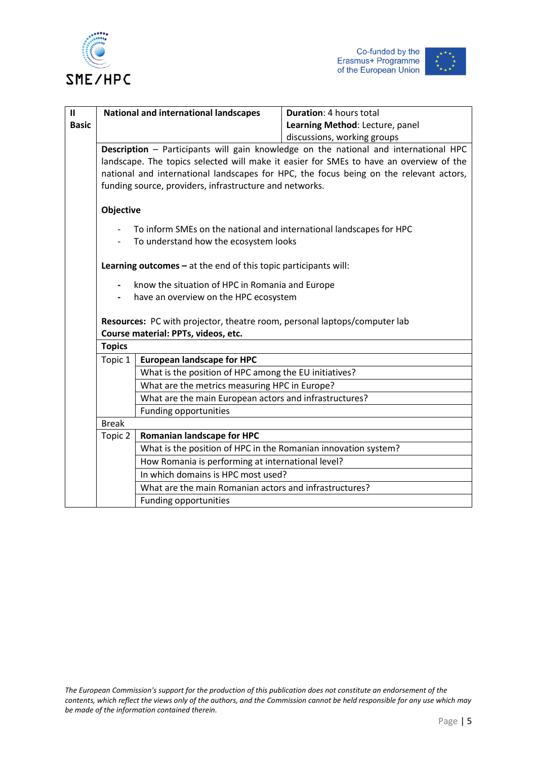





| $\mathbf{I}$ | <b>National and international landscapes</b>                                             |                                                                                        | <b>Duration: 4 hours total</b>  |  |  |  |
|--------------|------------------------------------------------------------------------------------------|----------------------------------------------------------------------------------------|---------------------------------|--|--|--|
| <b>Basic</b> |                                                                                          |                                                                                        | Learning Method: Lecture, panel |  |  |  |
|              |                                                                                          |                                                                                        | discussions, working groups     |  |  |  |
|              | Description - Participants will gain knowledge on the national and international HPC     |                                                                                        |                                 |  |  |  |
|              |                                                                                          | landscape. The topics selected will make it easier for SMEs to have an overview of the |                                 |  |  |  |
|              | national and international landscapes for HPC, the focus being on the relevant actors,   |                                                                                        |                                 |  |  |  |
|              | funding source, providers, infrastructure and networks.                                  |                                                                                        |                                 |  |  |  |
|              | Objective                                                                                |                                                                                        |                                 |  |  |  |
|              |                                                                                          |                                                                                        |                                 |  |  |  |
|              |                                                                                          | To inform SMEs on the national and international landscapes for HPC                    |                                 |  |  |  |
|              |                                                                                          | To understand how the ecosystem looks                                                  |                                 |  |  |  |
|              | Learning outcomes $-$ at the end of this topic participants will:                        |                                                                                        |                                 |  |  |  |
|              | know the situation of HPC in Romania and Europe<br>have an overview on the HPC ecosystem |                                                                                        |                                 |  |  |  |
|              |                                                                                          |                                                                                        |                                 |  |  |  |
|              |                                                                                          |                                                                                        |                                 |  |  |  |
|              | Resources: PC with projector, theatre room, personal laptops/computer lab                |                                                                                        |                                 |  |  |  |
|              | Course material: PPTs, videos, etc.                                                      |                                                                                        |                                 |  |  |  |
|              | <b>Topics</b>                                                                            |                                                                                        |                                 |  |  |  |
|              | Topic 1                                                                                  | <b>European landscape for HPC</b>                                                      |                                 |  |  |  |
|              |                                                                                          | What is the position of HPC among the EU initiatives?                                  |                                 |  |  |  |
|              |                                                                                          | What are the metrics measuring HPC in Europe?                                          |                                 |  |  |  |
|              |                                                                                          | What are the main European actors and infrastructures?                                 |                                 |  |  |  |
|              |                                                                                          | <b>Funding opportunities</b>                                                           |                                 |  |  |  |
|              | <b>Break</b>                                                                             |                                                                                        |                                 |  |  |  |
|              | Topic 2                                                                                  | <b>Romanian landscape for HPC</b>                                                      |                                 |  |  |  |
|              |                                                                                          | What is the position of HPC in the Romanian innovation system?                         |                                 |  |  |  |
|              |                                                                                          | How Romania is performing at international level?                                      |                                 |  |  |  |
|              |                                                                                          | In which domains is HPC most used?                                                     |                                 |  |  |  |
|              |                                                                                          | What are the main Romanian actors and infrastructures?                                 |                                 |  |  |  |
|              |                                                                                          | Funding opportunities                                                                  |                                 |  |  |  |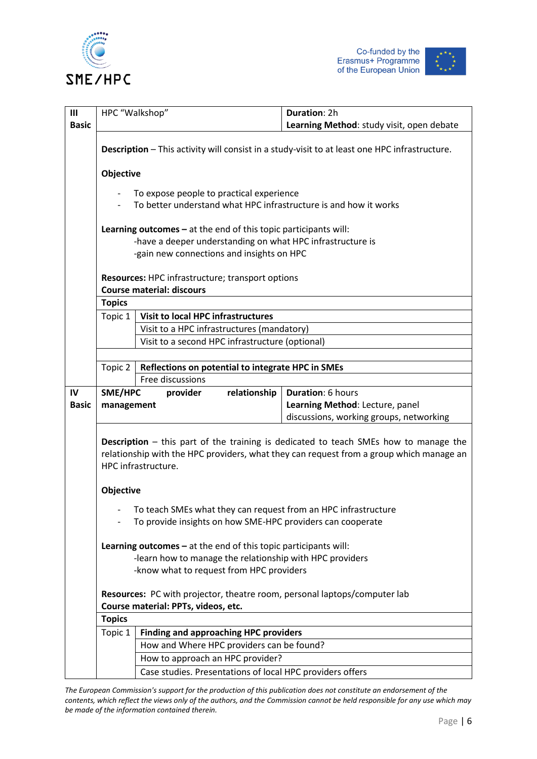





| $\mathbf{III}$ | HPC "Walkshop"                                                                                                                    |                                                                                                                              | Duration: 2h                                                                                                                                                                           |  |  |  |
|----------------|-----------------------------------------------------------------------------------------------------------------------------------|------------------------------------------------------------------------------------------------------------------------------|----------------------------------------------------------------------------------------------------------------------------------------------------------------------------------------|--|--|--|
| <b>Basic</b>   |                                                                                                                                   |                                                                                                                              |                                                                                                                                                                                        |  |  |  |
|                |                                                                                                                                   |                                                                                                                              | Learning Method: study visit, open debate                                                                                                                                              |  |  |  |
|                | Description - This activity will consist in a study-visit to at least one HPC infrastructure.                                     |                                                                                                                              |                                                                                                                                                                                        |  |  |  |
|                | Objective<br>To expose people to practical experience<br>To better understand what HPC infrastructure is and how it works         |                                                                                                                              |                                                                                                                                                                                        |  |  |  |
|                |                                                                                                                                   |                                                                                                                              |                                                                                                                                                                                        |  |  |  |
|                |                                                                                                                                   |                                                                                                                              |                                                                                                                                                                                        |  |  |  |
|                |                                                                                                                                   |                                                                                                                              |                                                                                                                                                                                        |  |  |  |
|                | Learning outcomes $-$ at the end of this topic participants will:                                                                 |                                                                                                                              |                                                                                                                                                                                        |  |  |  |
|                | -have a deeper understanding on what HPC infrastructure is                                                                        |                                                                                                                              |                                                                                                                                                                                        |  |  |  |
|                | -gain new connections and insights on HPC<br>Resources: HPC infrastructure; transport options<br><b>Course material: discours</b> |                                                                                                                              |                                                                                                                                                                                        |  |  |  |
|                |                                                                                                                                   |                                                                                                                              |                                                                                                                                                                                        |  |  |  |
|                |                                                                                                                                   |                                                                                                                              |                                                                                                                                                                                        |  |  |  |
|                | <b>Topics</b>                                                                                                                     |                                                                                                                              |                                                                                                                                                                                        |  |  |  |
|                | Topic 1                                                                                                                           | <b>Visit to local HPC infrastructures</b>                                                                                    |                                                                                                                                                                                        |  |  |  |
|                |                                                                                                                                   | Visit to a HPC infrastructures (mandatory)                                                                                   |                                                                                                                                                                                        |  |  |  |
|                |                                                                                                                                   | Visit to a second HPC infrastructure (optional)                                                                              |                                                                                                                                                                                        |  |  |  |
|                |                                                                                                                                   |                                                                                                                              |                                                                                                                                                                                        |  |  |  |
|                | Topic 2                                                                                                                           | Reflections on potential to integrate HPC in SMEs                                                                            |                                                                                                                                                                                        |  |  |  |
|                |                                                                                                                                   |                                                                                                                              |                                                                                                                                                                                        |  |  |  |
|                |                                                                                                                                   | Free discussions                                                                                                             |                                                                                                                                                                                        |  |  |  |
| IV             | SME/HPC                                                                                                                           | relationship<br>provider                                                                                                     | Duration: 6 hours                                                                                                                                                                      |  |  |  |
| <b>Basic</b>   | management                                                                                                                        |                                                                                                                              | Learning Method: Lecture, panel                                                                                                                                                        |  |  |  |
|                |                                                                                                                                   |                                                                                                                              | discussions, working groups, networking                                                                                                                                                |  |  |  |
|                |                                                                                                                                   | HPC infrastructure.                                                                                                          | <b>Description</b> – this part of the training is dedicated to teach SMEs how to manage the<br>relationship with the HPC providers, what they can request from a group which manage an |  |  |  |
|                | Objective                                                                                                                         |                                                                                                                              |                                                                                                                                                                                        |  |  |  |
|                |                                                                                                                                   |                                                                                                                              |                                                                                                                                                                                        |  |  |  |
|                |                                                                                                                                   | To teach SMEs what they can request from an HPC infrastructure<br>To provide insights on how SME-HPC providers can cooperate |                                                                                                                                                                                        |  |  |  |
|                |                                                                                                                                   |                                                                                                                              |                                                                                                                                                                                        |  |  |  |
|                |                                                                                                                                   | Learning outcomes $-$ at the end of this topic participants will:                                                            |                                                                                                                                                                                        |  |  |  |
|                |                                                                                                                                   | -learn how to manage the relationship with HPC providers<br>-know what to request from HPC providers                         |                                                                                                                                                                                        |  |  |  |
|                |                                                                                                                                   |                                                                                                                              |                                                                                                                                                                                        |  |  |  |
|                |                                                                                                                                   | Resources: PC with projector, theatre room, personal laptops/computer lab                                                    |                                                                                                                                                                                        |  |  |  |
|                |                                                                                                                                   | Course material: PPTs, videos, etc.                                                                                          |                                                                                                                                                                                        |  |  |  |
|                | <b>Topics</b>                                                                                                                     |                                                                                                                              |                                                                                                                                                                                        |  |  |  |
|                | Topic 1                                                                                                                           | <b>Finding and approaching HPC providers</b>                                                                                 |                                                                                                                                                                                        |  |  |  |
|                |                                                                                                                                   | How and Where HPC providers can be found?                                                                                    |                                                                                                                                                                                        |  |  |  |
|                |                                                                                                                                   | How to approach an HPC provider?<br>Case studies. Presentations of local HPC providers offers                                |                                                                                                                                                                                        |  |  |  |

*The European Commission's support for the production of this publication does not constitute an endorsement of the contents, which reflect the views only of the authors, and the Commission cannot be held responsible for any use which may be made of the information contained therein.*